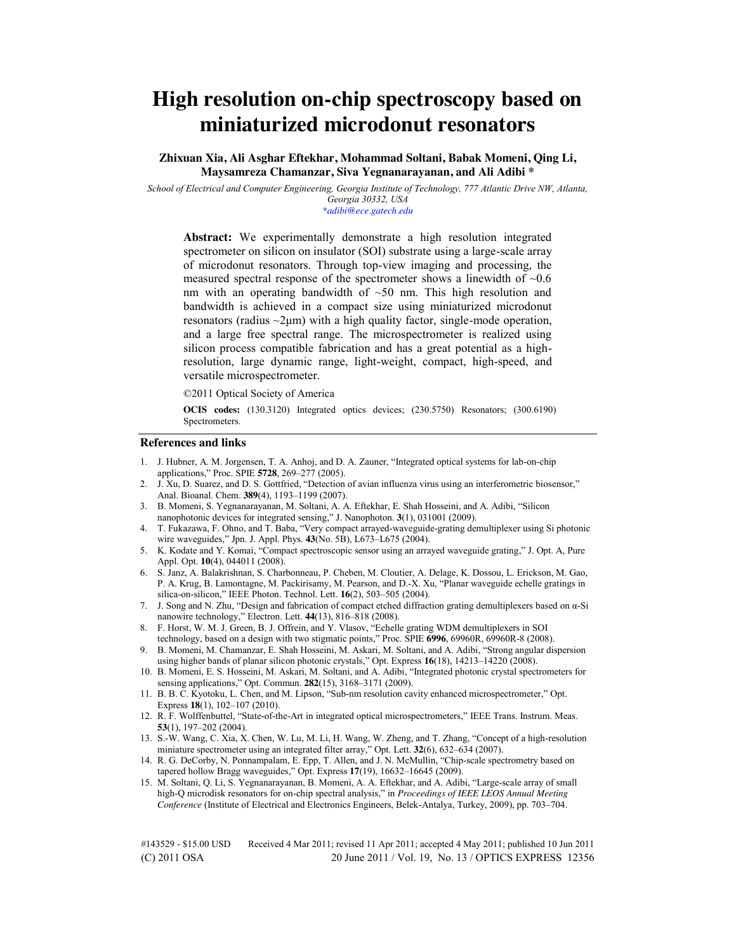# **High resolution on-chip spectroscopy based on miniaturized microdonut resonators**

**Zhixuan Xia, Ali Asghar Eftekhar, Mohammad Soltani, Babak Momeni, Qing Li, Maysamreza Chamanzar, Siva Yegnanarayanan, and Ali Adibi \*** 

*School of Electrical and Computer Engineering, Georgia Institute of Technology, 777 Atlantic Drive NW, Atlanta, Georgia 30332, USA \*adibi@ece.gatech.edu* 

**Abstract:** We experimentally demonstrate a high resolution integrated spectrometer on silicon on insulator (SOI) substrate using a large-scale array of microdonut resonators. Through top-view imaging and processing, the measured spectral response of the spectrometer shows a linewidth of  $\sim 0.6$ nm with an operating bandwidth of  $~50$  nm. This high resolution and bandwidth is achieved in a compact size using miniaturized microdonut resonators (radius  $\sim$ 2 $\mu$ m) with a high quality factor, single-mode operation, and a large free spectral range. The microspectrometer is realized using silicon process compatible fabrication and has a great potential as a highresolution, large dynamic range, light-weight, compact, high-speed, and versatile microspectrometer.

©2011 Optical Society of America

**OCIS codes:** (130.3120) Integrated optics devices; (230.5750) Resonators; (300.6190) Spectrometers.

#### **References and links**

- 1. J. Hubner, A. M. Jorgensen, T. A. Anhoj, and D. A. Zauner, "Integrated optical systems for lab-on-chip applications," Proc. SPIE **5728**, 269–277 (2005).
- 2. J. Xu, D. Suarez, and D. S. Gottfried, "Detection of avian influenza virus using an interferometric biosensor," Anal. Bioanal. Chem. **389**(4), 1193–1199 (2007).
- 3. B. Momeni, S. Yegnanarayanan, M. Soltani, A. A. Eftekhar, E. Shah Hosseini, and A. Adibi, "Silicon nanophotonic devices for integrated sensing," J. Nanophoton. **3**(1), 031001 (2009).
- 4. T. Fukazawa, F. Ohno, and T. Baba, "Very compact arrayed-waveguide-grating demultiplexer using Si photonic wire waveguides," Jpn. J. Appl. Phys. **43**(No. 5B), L673–L675 (2004).
- 5. K. Kodate and Y. Komai, "Compact spectroscopic sensor using an arrayed waveguide grating," J. Opt. A, Pure Appl. Opt. **10**(4), 044011 (2008).
- 6. S. Janz, A. Balakrishnan, S. Charbonneau, P. Cheben, M. Cloutier, A. Delage, K. Dossou, L. Erickson, M. Gao, P. A. Krug, B. Lamontagne, M. Packirisamy, M. Pearson, and D.-X. Xu, "Planar waveguide echelle gratings in silica-on-silicon," IEEE Photon. Technol. Lett. **16**(2), 503–505 (2004).
- 7. J. Song and N. Zhu, "Design and fabrication of compact etched diffraction grating demultiplexers based on α-Si nanowire technology," Electron. Lett. **44**(13), 816–818 (2008).
- 8. F. Horst, W. M. J. Green, B. J. Offrein, and Y. Vlasov, "Echelle grating WDM demultiplexers in SOI technology, based on a design with two stigmatic points," Proc. SPIE **6996**, 69960R, 69960R-8 (2008).
- 9. B. Momeni, M. Chamanzar, E. Shah Hosseini, M. Askari, M. Soltani, and A. Adibi, "Strong angular dispersion using higher bands of planar silicon photonic crystals," Opt. Express **16**(18), 14213–14220 (2008).
- 10. B. Momeni, E. S. Hosseini, M. Askari, M. Soltani, and A. Adibi, "Integrated photonic crystal spectrometers for sensing applications," Opt. Commun. **282**(15), 3168–3171 (2009).
- 11. B. B. C. Kyotoku, L. Chen, and M. Lipson, "Sub-nm resolution cavity enhanced microspectrometer," Opt. Express **18**(1), 102–107 (2010).
- 12. R. F. Wolffenbuttel, "State-of-the-Art in integrated optical microspectrometers," IEEE Trans. Instrum. Meas. **53**(1), 197–202 (2004).
- 13. S.-W. Wang, C. Xia, X. Chen, W. Lu, M. Li, H. Wang, W. Zheng, and T. Zhang, "Concept of a high-resolution miniature spectrometer using an integrated filter array," Opt. Lett. **32**(6), 632–634 (2007).
- 14. R. G. DeCorby, N. Ponnampalam, E. Epp, T. Allen, and J. N. McMullin, "Chip-scale spectrometry based on tapered hollow Bragg waveguides," Opt. Express **17**(19), 16632–16645 (2009).
- 15. M. Soltani, Q. Li, S. Yegnanarayanan, B. Momeni, A. A. Eftekhar, and A. Adibi, "Large-scale array of small high-Q microdisk resonators for on-chip spectral analysis," in *Proceedings of IEEE LEOS Annual Meeting Conference* (Institute of Electrical and Electronics Engineers, Belek-Antalya, Turkey, 2009), pp. 703–704.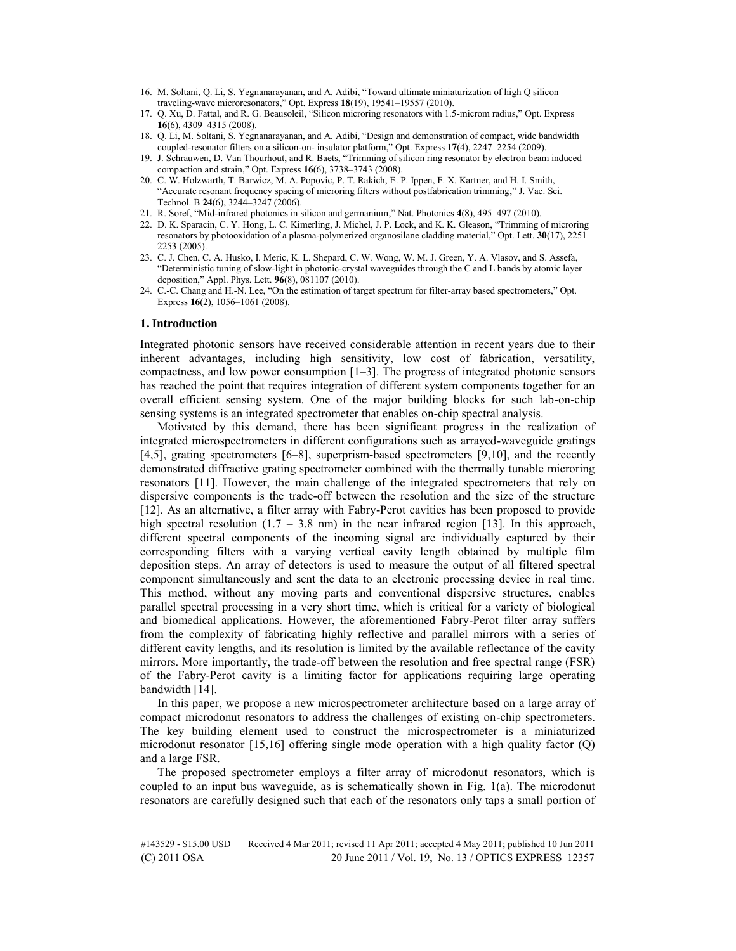- 16. M. Soltani, Q. Li, S. Yegnanarayanan, and A. Adibi, "Toward ultimate miniaturization of high Q silicon traveling-wave microresonators," Opt. Express **18**(19), 19541–19557 (2010).
- 17. Q. Xu, D. Fattal, and R. G. Beausoleil, "Silicon microring resonators with 1.5-microm radius," Opt. Express **16**(6), 4309–4315 (2008).
- 18. Q. Li, M. Soltani, S. Yegnanarayanan, and A. Adibi, "Design and demonstration of compact, wide bandwidth coupled-resonator filters on a silicon-on- insulator platform," Opt. Express **17**(4), 2247–2254 (2009).
- 19. J. Schrauwen, D. Van Thourhout, and R. Baets, "Trimming of silicon ring resonator by electron beam induced compaction and strain," Opt. Express **16**(6), 3738–3743 (2008).
- 20. C. W. Holzwarth, T. Barwicz, M. A. Popovic, P. T. Rakich, E. P. Ippen, F. X. Kartner, and H. I. Smith, "Accurate resonant frequency spacing of microring filters without postfabrication trimming," J. Vac. Sci. Technol. B **24**(6), 3244–3247 (2006).
- 21. R. Soref, "Mid-infrared photonics in silicon and germanium," Nat. Photonics **4**(8), 495–497 (2010).
- 22. D. K. Sparacin, C. Y. Hong, L. C. Kimerling, J. Michel, J. P. Lock, and K. K. Gleason, "Trimming of microring resonators by photooxidation of a plasma-polymerized organosilane cladding material," Opt. Lett. **30**(17), 2251– 2253 (2005).
- 23. C. J. Chen, C. A. Husko, I. Meric, K. L. Shepard, C. W. Wong, W. M. J. Green, Y. A. Vlasov, and S. Assefa, "Deterministic tuning of slow-light in photonic-crystal waveguides through the C and L bands by atomic layer deposition," Appl. Phys. Lett. **96**(8), 081107 (2010).
- 24. C.-C. Chang and H.-N. Lee, "On the estimation of target spectrum for filter-array based spectrometers," Opt. Express **16**(2), 1056–1061 (2008).

## **1. Introduction**

Integrated photonic sensors have received considerable attention in recent years due to their inherent advantages, including high sensitivity, low cost of fabrication, versatility, compactness, and low power consumption  $[1-3]$ . The progress of integrated photonic sensors has reached the point that requires integration of different system components together for an overall efficient sensing system. One of the major building blocks for such lab-on-chip sensing systems is an integrated spectrometer that enables on-chip spectral analysis.

Motivated by this demand, there has been significant progress in the realization of integrated microspectrometers in different configurations such as arrayed-waveguide gratings [4,5], grating spectrometers [6–8], superprism-based spectrometers [9,10], and the recently demonstrated diffractive grating spectrometer combined with the thermally tunable microring resonators [11]. However, the main challenge of the integrated spectrometers that rely on dispersive components is the trade-off between the resolution and the size of the structure [12]. As an alternative, a filter array with Fabry-Perot cavities has been proposed to provide high spectral resolution  $(1.7 - 3.8 \text{ nm})$  in the near infrared region [13]. In this approach, different spectral components of the incoming signal are individually captured by their corresponding filters with a varying vertical cavity length obtained by multiple film deposition steps. An array of detectors is used to measure the output of all filtered spectral component simultaneously and sent the data to an electronic processing device in real time. This method, without any moving parts and conventional dispersive structures, enables parallel spectral processing in a very short time, which is critical for a variety of biological and biomedical applications. However, the aforementioned Fabry-Perot filter array suffers from the complexity of fabricating highly reflective and parallel mirrors with a series of different cavity lengths, and its resolution is limited by the available reflectance of the cavity mirrors. More importantly, the trade-off between the resolution and free spectral range (FSR) of the Fabry-Perot cavity is a limiting factor for applications requiring large operating bandwidth [14].

In this paper, we propose a new microspectrometer architecture based on a large array of compact microdonut resonators to address the challenges of existing on-chip spectrometers. The key building element used to construct the microspectrometer is a miniaturized microdonut resonator  $[15,16]$  offering single mode operation with a high quality factor  $(0)$ and a large FSR.

The proposed spectrometer employs a filter array of microdonut resonators, which is coupled to an input bus waveguide, as is schematically shown in Fig. 1(a). The microdonut resonators are carefully designed such that each of the resonators only taps a small portion of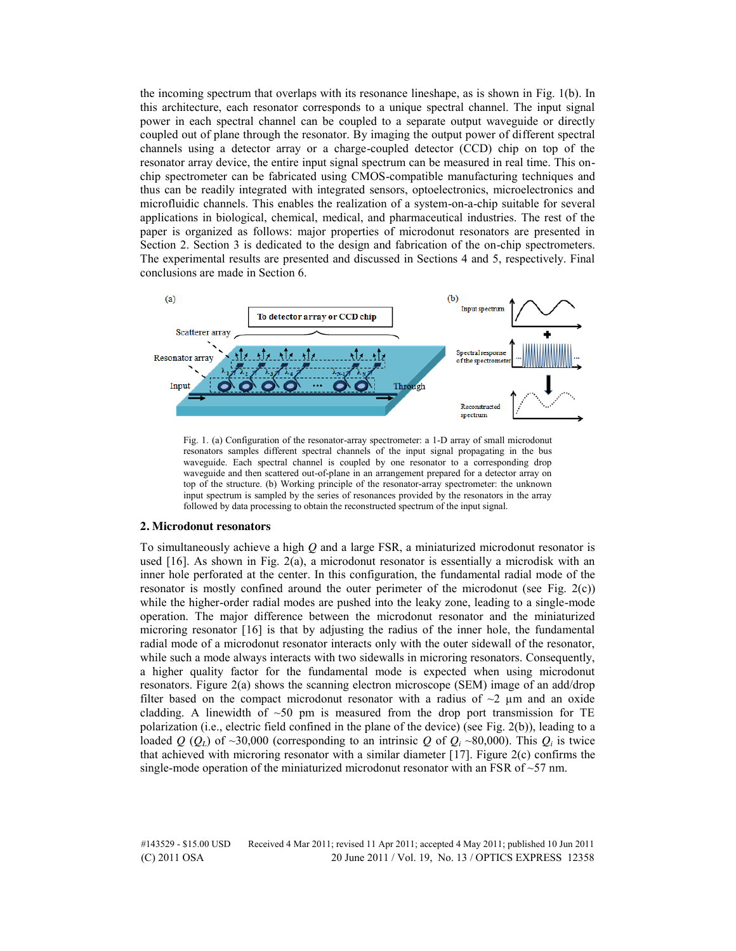the incoming spectrum that overlaps with its resonance lineshape, as is shown in Fig. 1(b). In this architecture, each resonator corresponds to a unique spectral channel. The input signal power in each spectral channel can be coupled to a separate output waveguide or directly coupled out of plane through the resonator. By imaging the output power of different spectral channels using a detector array or a charge-coupled detector (CCD) chip on top of the resonator array device, the entire input signal spectrum can be measured in real time. This onchip spectrometer can be fabricated using CMOS-compatible manufacturing techniques and thus can be readily integrated with integrated sensors, optoelectronics, microelectronics and microfluidic channels. This enables the realization of a system-on-a-chip suitable for several applications in biological, chemical, medical, and pharmaceutical industries. The rest of the paper is organized as follows: major properties of microdonut resonators are presented in Section 2. Section 3 is dedicated to the design and fabrication of the on-chip spectrometers. The experimental results are presented and discussed in Sections 4 and 5, respectively. Final conclusions are made in Section 6.



Fig. 1. (a) Configuration of the resonator-array spectrometer: a 1-D array of small microdonut resonators samples different spectral channels of the input signal propagating in the bus waveguide. Each spectral channel is coupled by one resonator to a corresponding drop waveguide and then scattered out-of-plane in an arrangement prepared for a detector array on top of the structure. (b) Working principle of the resonator-array spectrometer: the unknown input spectrum is sampled by the series of resonances provided by the resonators in the array followed by data processing to obtain the reconstructed spectrum of the input signal.

# **2. Microdonut resonators**

To simultaneously achieve a high *Q* and a large FSR, a miniaturized microdonut resonator is used  $[16]$ . As shown in Fig. 2(a), a microdonut resonator is essentially a microdisk with an inner hole perforated at the center. In this configuration, the fundamental radial mode of the resonator is mostly confined around the outer perimeter of the microdonut (see Fig. 2(c)) while the higher-order radial modes are pushed into the leaky zone, leading to a single-mode operation. The major difference between the microdonut resonator and the miniaturized microring resonator [16] is that by adjusting the radius of the inner hole, the fundamental radial mode of a microdonut resonator interacts only with the outer sidewall of the resonator, while such a mode always interacts with two sidewalls in microring resonators. Consequently, a higher quality factor for the fundamental mode is expected when using microdonut resonators. Figure 2(a) shows the scanning electron microscope (SEM) image of an add/drop filter based on the compact microdonut resonator with a radius of  $\sim$ 2  $\mu$ m and an oxide cladding. A linewidth of  $\sim 50$  pm is measured from the drop port transmission for TE polarization (i.e., electric field confined in the plane of the device) (see Fig. 2(b)), leading to a loaded *Q* ( $Q_l$ ) of ~30,000 (corresponding to an intrinsic *Q* of  $Q_i$  ~80,000). This  $Q_i$  is twice that achieved with microring resonator with a similar diameter [17]. Figure 2(c) confirms the single-mode operation of the miniaturized microdonut resonator with an FSR of  $\sim$  57 nm.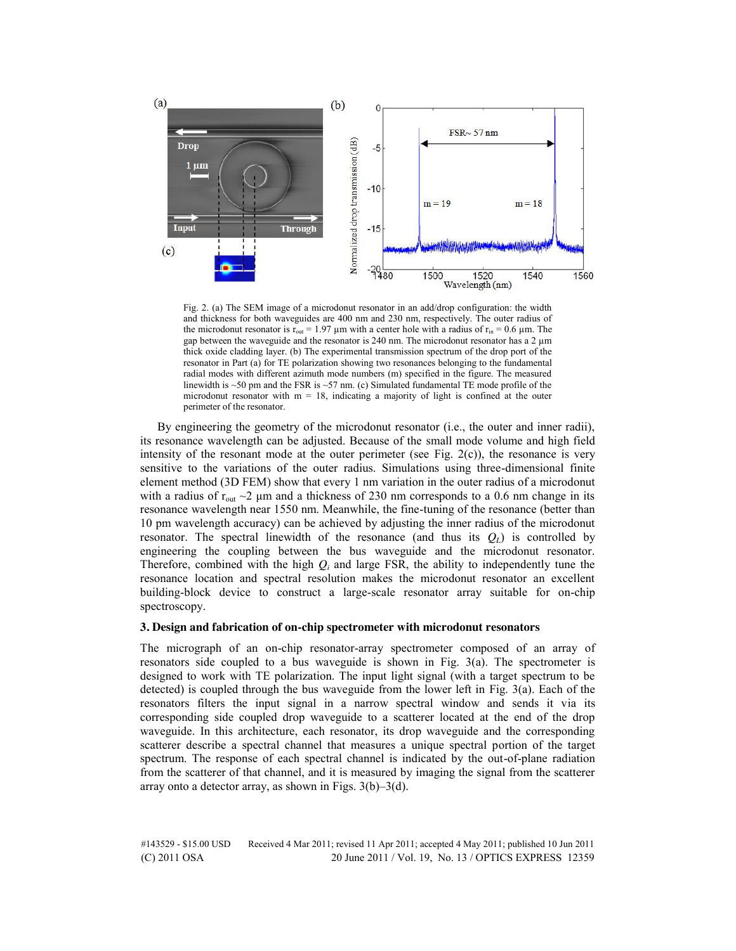

Fig. 2. (a) The SEM image of a microdonut resonator in an add/drop configuration: the width and thickness for both waveguides are 400 nm and 230 nm, respectively. The outer radius of the microdonut resonator is  $r_{out} = 1.97 \mu m$  with a center hole with a radius of  $r_{in} = 0.6 \mu m$ . The gap between the waveguide and the resonator is 240 nm. The microdonut resonator has a  $2 \mu m$ thick oxide cladding layer. (b) The experimental transmission spectrum of the drop port of the resonator in Part (a) for TE polarization showing two resonances belonging to the fundamental radial modes with different azimuth mode numbers (m) specified in the figure. The measured linewidth is  $\sim$ 50 pm and the FSR is  $\sim$ 57 nm. (c) Simulated fundamental TE mode profile of the microdonut resonator with  $m = 18$ , indicating a majority of light is confined at the outer perimeter of the resonator.

By engineering the geometry of the microdonut resonator (i.e., the outer and inner radii), its resonance wavelength can be adjusted. Because of the small mode volume and high field intensity of the resonant mode at the outer perimeter (see Fig.  $2(c)$ ), the resonance is very sensitive to the variations of the outer radius. Simulations using three-dimensional finite element method (3D FEM) show that every 1 nm variation in the outer radius of a microdonut with a radius of  $r_{\text{out}} \sim 2 \mu$ m and a thickness of 230 nm corresponds to a 0.6 nm change in its resonance wavelength near 1550 nm. Meanwhile, the fine-tuning of the resonance (better than 10 pm wavelength accuracy) can be achieved by adjusting the inner radius of the microdonut resonator. The spectral linewidth of the resonance (and thus its  $Q_l$ ) is controlled by engineering the coupling between the bus waveguide and the microdonut resonator. Therefore, combined with the high  $Q_i$  and large FSR, the ability to independently tune the resonance location and spectral resolution makes the microdonut resonator an excellent building-block device to construct a large-scale resonator array suitable for on-chip spectroscopy.

## **3. Design and fabrication of on-chip spectrometer with microdonut resonators**

The micrograph of an on-chip resonator-array spectrometer composed of an array of resonators side coupled to a bus waveguide is shown in Fig. 3(a). The spectrometer is designed to work with TE polarization. The input light signal (with a target spectrum to be detected) is coupled through the bus waveguide from the lower left in Fig. 3(a). Each of the resonators filters the input signal in a narrow spectral window and sends it via its corresponding side coupled drop waveguide to a scatterer located at the end of the drop waveguide. In this architecture, each resonator, its drop waveguide and the corresponding scatterer describe a spectral channel that measures a unique spectral portion of the target spectrum. The response of each spectral channel is indicated by the out-of-plane radiation from the scatterer of that channel, and it is measured by imaging the signal from the scatterer array onto a detector array, as shown in Figs. 3(b)–3(d).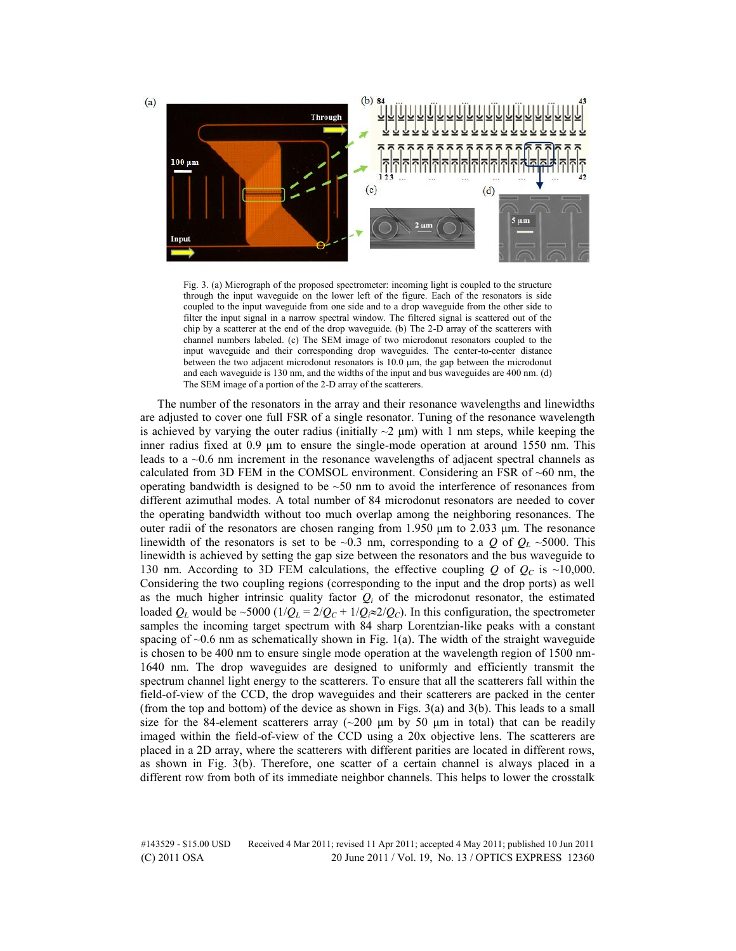

Fig. 3. (a) Micrograph of the proposed spectrometer: incoming light is coupled to the structure through the input waveguide on the lower left of the figure. Each of the resonators is side coupled to the input waveguide from one side and to a drop waveguide from the other side to filter the input signal in a narrow spectral window. The filtered signal is scattered out of the chip by a scatterer at the end of the drop waveguide. (b) The 2-D array of the scatterers with channel numbers labeled. (c) The SEM image of two microdonut resonators coupled to the input waveguide and their corresponding drop waveguides. The center-to-center distance between the two adjacent microdonut resonators is 10.0 μm, the gap between the microdonut and each waveguide is 130 nm, and the widths of the input and bus waveguides are 400 nm. (d) The SEM image of a portion of the 2-D array of the scatterers.

The number of the resonators in the array and their resonance wavelengths and linewidths are adjusted to cover one full FSR of a single resonator. Tuning of the resonance wavelength is achieved by varying the outer radius (initially  $\sim$ 2  $\mu$ m) with 1 nm steps, while keeping the inner radius fixed at 0.9 μm to ensure the single-mode operation at around 1550 nm. This leads to a ~0.6 nm increment in the resonance wavelengths of adjacent spectral channels as calculated from 3D FEM in the COMSOL environment. Considering an FSR of ~60 nm, the operating bandwidth is designed to be  $\sim$ 50 nm to avoid the interference of resonances from different azimuthal modes. A total number of 84 microdonut resonators are needed to cover the operating bandwidth without too much overlap among the neighboring resonances. The outer radii of the resonators are chosen ranging from 1.950 μm to 2.033 μm. The resonance linewidth of the resonators is set to be  $\sim$ 0.3 nm, corresponding to a *Q* of  $Q_L \sim$ 5000. This linewidth is achieved by setting the gap size between the resonators and the bus waveguide to 130 nm. According to 3D FEM calculations, the effective coupling  $Q$  of  $Q_c$  is ~10,000. Considering the two coupling regions (corresponding to the input and the drop ports) as well as the much higher intrinsic quality factor  $Q_i$  of the microdonut resonator, the estimated loaded  $Q_L$  would be ~5000 ( $1/Q_L = 2/Q_C + 1/Q_i \approx 2/Q_C$ ). In this configuration, the spectrometer samples the incoming target spectrum with 84 sharp Lorentzian-like peaks with a constant spacing of  $\sim$ 0.6 nm as schematically shown in Fig. 1(a). The width of the straight waveguide is chosen to be 400 nm to ensure single mode operation at the wavelength region of 1500 nm-1640 nm. The drop waveguides are designed to uniformly and efficiently transmit the spectrum channel light energy to the scatterers. To ensure that all the scatterers fall within the field-of-view of the CCD, the drop waveguides and their scatterers are packed in the center (from the top and bottom) of the device as shown in Figs. 3(a) and 3(b). This leads to a small size for the 84-element scatterers array ( $\sim$ 200 μm by 50 μm in total) that can be readily imaged within the field-of-view of the CCD using a 20x objective lens. The scatterers are placed in a 2D array, where the scatterers with different parities are located in different rows, as shown in Fig. 3(b). Therefore, one scatter of a certain channel is always placed in a different row from both of its immediate neighbor channels. This helps to lower the crosstalk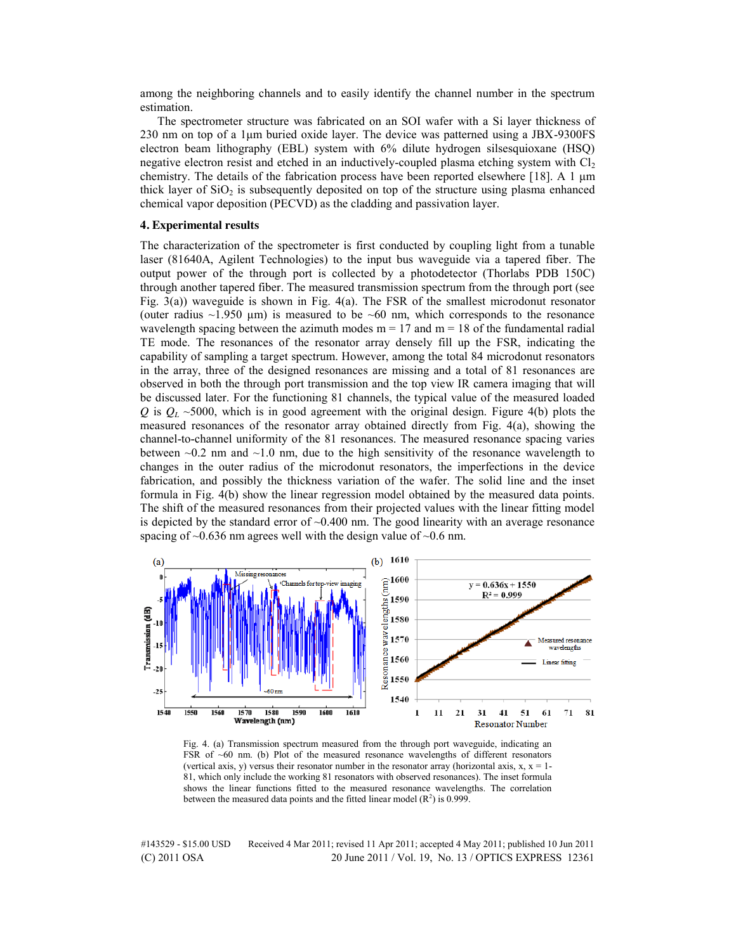among the neighboring channels and to easily identify the channel number in the spectrum estimation.

The spectrometer structure was fabricated on an SOI wafer with a Si layer thickness of 230 nm on top of a 1μm buried oxide layer. The device was patterned using a JBX-9300FS electron beam lithography (EBL) system with 6% dilute hydrogen silsesquioxane (HSQ) negative electron resist and etched in an inductively-coupled plasma etching system with  $Cl<sub>2</sub>$ chemistry. The details of the fabrication process have been reported elsewhere [18]. A 1  $\mu$ m thick layer of  $SiO<sub>2</sub>$  is subsequently deposited on top of the structure using plasma enhanced chemical vapor deposition (PECVD) as the cladding and passivation layer.

## **4. Experimental results**

The characterization of the spectrometer is first conducted by coupling light from a tunable laser (81640A, Agilent Technologies) to the input bus waveguide via a tapered fiber. The output power of the through port is collected by a photodetector (Thorlabs PDB 150C) through another tapered fiber. The measured transmission spectrum from the through port (see Fig. 3(a)) waveguide is shown in Fig. 4(a). The FSR of the smallest microdonut resonator (outer radius  $\sim$ 1.950  $\mu$ m) is measured to be  $\sim$ 60 nm, which corresponds to the resonance wavelength spacing between the azimuth modes  $m = 17$  and  $m = 18$  of the fundamental radial TE mode. The resonances of the resonator array densely fill up the FSR, indicating the capability of sampling a target spectrum. However, among the total 84 microdonut resonators in the array, three of the designed resonances are missing and a total of 81 resonances are observed in both the through port transmission and the top view IR camera imaging that will be discussed later. For the functioning 81 channels, the typical value of the measured loaded *Q* is  $Q_L \sim 5000$ , which is in good agreement with the original design. Figure 4(b) plots the measured resonances of the resonator array obtained directly from Fig. 4(a), showing the channel-to-channel uniformity of the 81 resonances. The measured resonance spacing varies between  $\sim 0.2$  nm and  $\sim 1.0$  nm, due to the high sensitivity of the resonance wavelength to changes in the outer radius of the microdonut resonators, the imperfections in the device fabrication, and possibly the thickness variation of the wafer. The solid line and the inset formula in Fig. 4(b) show the linear regression model obtained by the measured data points. The shift of the measured resonances from their projected values with the linear fitting model is depicted by the standard error of  $\sim 0.400$  nm. The good linearity with an average resonance spacing of  $\sim 0.636$  nm agrees well with the design value of  $\sim 0.6$  nm.



Fig. 4. (a) Transmission spectrum measured from the through port waveguide, indicating an FSR of  $~60$  nm. (b) Plot of the measured resonance wavelengths of different resonators (vertical axis, y) versus their resonator number in the resonator array (horizontal axis,  $x$ ,  $x = 1$ -81, which only include the working 81 resonators with observed resonances). The inset formula shows the linear functions fitted to the measured resonance wavelengths. The correlation between the measured data points and the fitted linear model  $(R^2)$  is 0.999.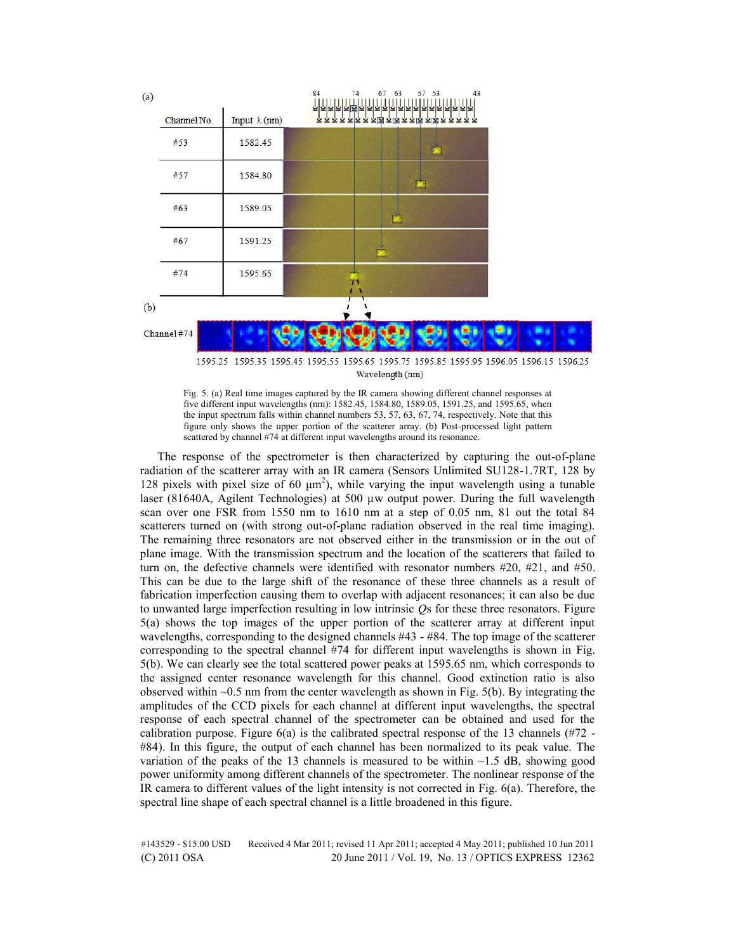

Fig. 5. (a) Real time images captured by the IR camera showing different channel responses at five different input wavelengths (nm): 1582.45, 1584.80, 1589.05, 1591.25, and 1595.65, when the input spectrum falls within channel numbers 53, 57, 63, 67, 74, respectively. Note that this figure only shows the upper portion of the scatterer array. (b) Post-processed light pattern scattered by channel #74 at different input wavelengths around its resonance.

The response of the spectrometer is then characterized by capturing the out-of-plane radiation of the scatterer array with an IR camera (Sensors Unlimited SU128-1.7RT, 128 by 128 pixels with pixel size of 60  $\mu$ m<sup>2</sup>), while varying the input wavelength using a tunable laser (81640A, Agilent Technologies) at 500 µw output power. During the full wavelength scan over one FSR from 1550 nm to 1610 nm at a step of 0.05 nm, 81 out the total 84 scatterers turned on (with strong out-of-plane radiation observed in the real time imaging). The remaining three resonators are not observed either in the transmission or in the out of plane image. With the transmission spectrum and the location of the scatterers that failed to turn on, the defective channels were identified with resonator numbers  $\#20$ ,  $\#21$ , and  $\#50$ . This can be due to the large shift of the resonance of these three channels as a result of fabrication imperfection causing them to overlap with adjacent resonances; it can also be due to unwanted large imperfection resulting in low intrinsic *Q*s for these three resonators. Figure 5(a) shows the top images of the upper portion of the scatterer array at different input wavelengths, corresponding to the designed channels #43 - #84. The top image of the scatterer corresponding to the spectral channel #74 for different input wavelengths is shown in Fig. 5(b). We can clearly see the total scattered power peaks at 1595.65 nm, which corresponds to the assigned center resonance wavelength for this channel. Good extinction ratio is also observed within  $\sim 0.5$  nm from the center wavelength as shown in Fig.  $5(b)$ . By integrating the amplitudes of the CCD pixels for each channel at different input wavelengths, the spectral response of each spectral channel of the spectrometer can be obtained and used for the calibration purpose. Figure  $6(a)$  is the calibrated spectral response of the 13 channels (#72 -#84). In this figure, the output of each channel has been normalized to its peak value. The variation of the peaks of the 13 channels is measured to be within  $\sim$ 1.5 dB, showing good power uniformity among different channels of the spectrometer. The nonlinear response of the IR camera to different values of the light intensity is not corrected in Fig. 6(a). Therefore, the spectral line shape of each spectral channel is a little broadened in this figure.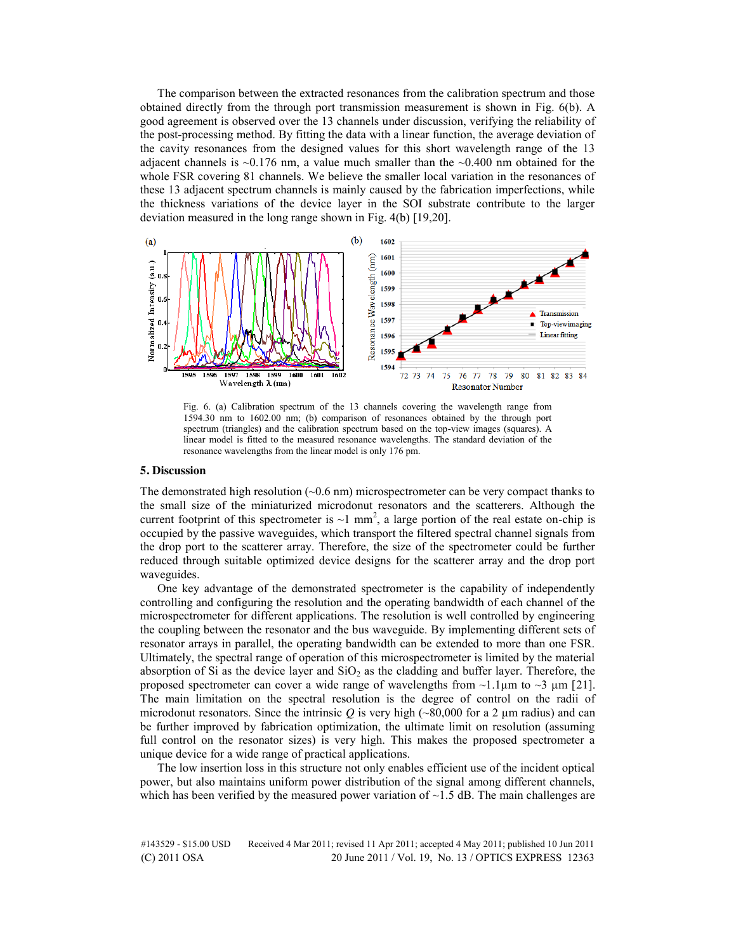The comparison between the extracted resonances from the calibration spectrum and those obtained directly from the through port transmission measurement is shown in Fig. 6(b). A good agreement is observed over the 13 channels under discussion, verifying the reliability of the post-processing method. By fitting the data with a linear function, the average deviation of the cavity resonances from the designed values for this short wavelength range of the 13 adjacent channels is  $\sim$ 0.176 nm, a value much smaller than the  $\sim$ 0.400 nm obtained for the whole FSR covering 81 channels. We believe the smaller local variation in the resonances of these 13 adjacent spectrum channels is mainly caused by the fabrication imperfections, while the thickness variations of the device layer in the SOI substrate contribute to the larger deviation measured in the long range shown in Fig. 4(b) [19,20].



Fig. 6. (a) Calibration spectrum of the 13 channels covering the wavelength range from 1594.30 nm to 1602.00 nm; (b) comparison of resonances obtained by the through port spectrum (triangles) and the calibration spectrum based on the top-view images (squares). A linear model is fitted to the measured resonance wavelengths. The standard deviation of the resonance wavelengths from the linear model is only 176 pm.

# **5. Discussion**

The demonstrated high resolution  $(-0.6 \text{ nm})$  microspectrometer can be very compact thanks to the small size of the miniaturized microdonut resonators and the scatterers. Although the current footprint of this spectrometer is  $\sim$ 1 mm<sup>2</sup>, a large portion of the real estate on-chip is occupied by the passive waveguides, which transport the filtered spectral channel signals from the drop port to the scatterer array. Therefore, the size of the spectrometer could be further reduced through suitable optimized device designs for the scatterer array and the drop port waveguides.

One key advantage of the demonstrated spectrometer is the capability of independently controlling and configuring the resolution and the operating bandwidth of each channel of the microspectrometer for different applications. The resolution is well controlled by engineering the coupling between the resonator and the bus waveguide. By implementing different sets of resonator arrays in parallel, the operating bandwidth can be extended to more than one FSR. Ultimately, the spectral range of operation of this microspectrometer is limited by the material absorption of Si as the device layer and  $SiO<sub>2</sub>$  as the cladding and buffer layer. Therefore, the proposed spectrometer can cover a wide range of wavelengths from  $\sim$ 1.1 $\mu$ m to  $\sim$ 3  $\mu$ m [21]. The main limitation on the spectral resolution is the degree of control on the radii of microdonut resonators. Since the intrinsic  $Q$  is very high ( $\sim 80,000$  for a 2  $\mu$ m radius) and can be further improved by fabrication optimization, the ultimate limit on resolution (assuming full control on the resonator sizes) is very high. This makes the proposed spectrometer a unique device for a wide range of practical applications.

The low insertion loss in this structure not only enables efficient use of the incident optical power, but also maintains uniform power distribution of the signal among different channels, which has been verified by the measured power variation of  $\sim$  1.5 dB. The main challenges are